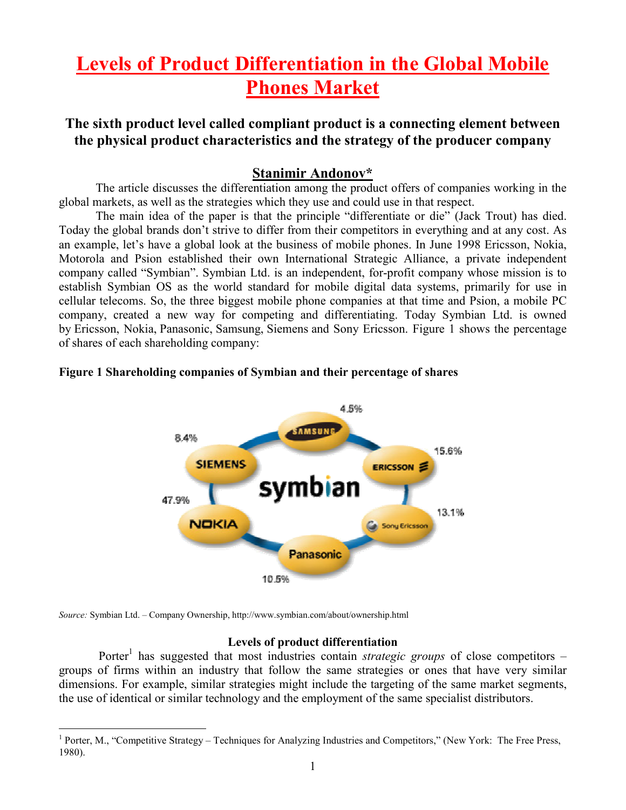# Levels of Product Differentiation in the Global Mobile Phones Market

# The sixth product level called compliant product is a connecting element between the physical product characteristics and the strategy of the producer company

### Stanimir Andonov\*

The article discusses the differentiation among the product offers of companies working in the global markets, as well as the strategies which they use and could use in that respect.

The main idea of the paper is that the principle "differentiate or die" (Jack Trout) has died. Today the global brands don't strive to differ from their competitors in everything and at any cost. As an example, let's have a global look at the business of mobile phones. In June 1998 Ericsson, Nokia, Motorola and Psion established their own International Strategic Alliance, a private independent company called "Symbian". Symbian Ltd. is an independent, for-profit company whose mission is to establish Symbian OS as the world standard for mobile digital data systems, primarily for use in cellular telecoms. So, the three biggest mobile phone companies at that time and Psion, a mobile PC company, created a new way for competing and differentiating. Today Symbian Ltd. is owned by Ericsson, Nokia, Panasonic, Samsung, Siemens and Sony Ericsson. Figure 1 shows the percentage of shares of each shareholding company:

#### Figure 1 Shareholding companies of Symbian and their percentage of shares



Source: Symbian Ltd. – Company Ownership, http://www.symbian.com/about/ownership.html

#### Levels of product differentiation

Porter<sup>1</sup> has suggested that most industries contain *strategic groups* of close competitors groups of firms within an industry that follow the same strategies or ones that have very similar dimensions. For example, similar strategies might include the targeting of the same market segments, the use of identical or similar technology and the employment of the same specialist distributors.

<sup>&</sup>lt;sup>1</sup> Porter, M., "Competitive Strategy – Techniques for Analyzing Industries and Competitors," (New York: The Free Press, 1980).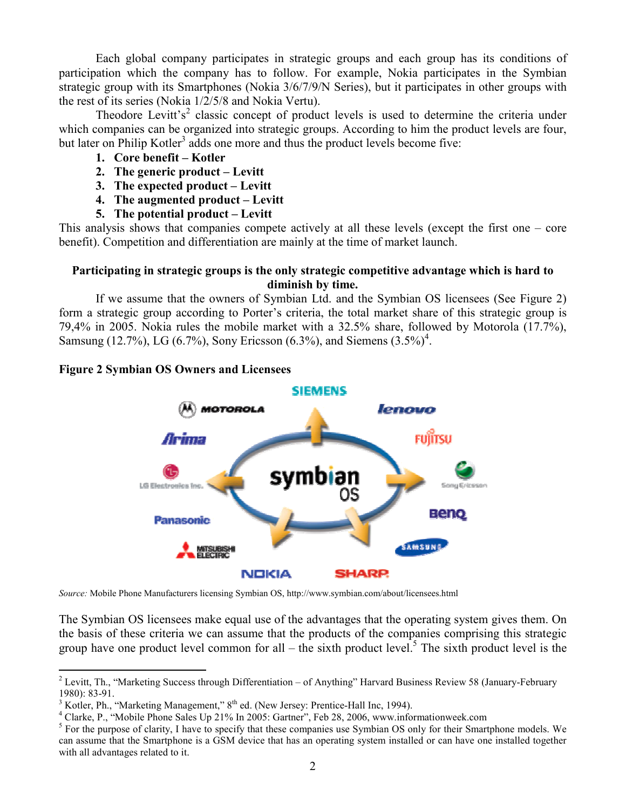Each global company participates in strategic groups and each group has its conditions of participation which the company has to follow. For example, Nokia participates in the Symbian strategic group with its Smartphones (Nokia 3/6/7/9/N Series), but it participates in other groups with the rest of its series (Nokia 1/2/5/8 and Nokia Vertu).

Theodore Levitt's<sup>2</sup> classic concept of product levels is used to determine the criteria under which companies can be organized into strategic groups. According to him the product levels are four, but later on Philip Kotler<sup>3</sup> adds one more and thus the product levels become five:

- 1. Core benefit Kotler
- 2. The generic product Levitt
- 3. The expected product Levitt
- 4. The augmented product Levitt
- 5. The potential product Levitt

This analysis shows that companies compete actively at all these levels (except the first one – core benefit). Competition and differentiation are mainly at the time of market launch.

#### Participating in strategic groups is the only strategic competitive advantage which is hard to diminish by time.

If we assume that the owners of Symbian Ltd. and the Symbian OS licensees (See Figure 2) form a strategic group according to Porter's criteria, the total market share of this strategic group is 79,4% in 2005. Nokia rules the mobile market with a 32.5% share, followed by Motorola (17.7%), Samsung (12.7%), LG (6.7%), Sony Ericsson (6.3%), and Siemens  $(3.5\%)^4$ .

#### Figure 2 Symbian OS Owners and Licensees



Source: Mobile Phone Manufacturers licensing Symbian OS, http://www.symbian.com/about/licensees.html

The Symbian OS licensees make equal use of the advantages that the operating system gives them. On the basis of these criteria we can assume that the products of the companies comprising this strategic group have one product level common for all – the sixth product level.<sup>5</sup> The sixth product level is the

<sup>&</sup>lt;sup>2</sup> Levitt, Th., "Marketing Success through Differentiation – of Anything" Harvard Business Review 58 (January-February 1980): 83-91.

 $3$  Kotler, Ph., "Marketing Management,"  $8<sup>th</sup>$  ed. (New Jersey: Prentice-Hall Inc, 1994).

<sup>&</sup>lt;sup>4</sup> Clarke, P., "Mobile Phone Sales Up 21% In 2005: Gartner", Feb 28, 2006, www.informationweek.com

<sup>&</sup>lt;sup>5</sup> For the purpose of clarity, I have to specify that these companies use Symbian OS only for their Smartphone models. We can assume that the Smartphone is a GSM device that has an operating system installed or can have one installed together with all advantages related to it.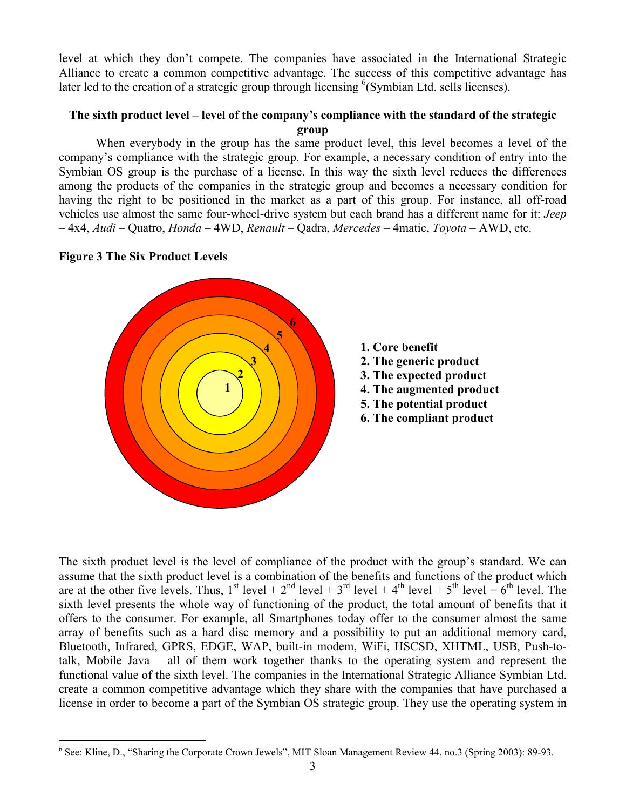level at which they don't compete. The companies have associated in the International Strategic Alliance to create a common competitive advantage. The success of this competitive advantage has later led to the creation of a strategic group through licensing <sup>6</sup>(Symbian Ltd. sells licenses).

#### The sixth product level – level of the company's compliance with the standard of the strategic group

 When everybody in the group has the same product level, this level becomes a level of the company's compliance with the strategic group. For example, a necessary condition of entry into the Symbian OS group is the purchase of a license. In this way the sixth level reduces the differences among the products of the companies in the strategic group and becomes a necessary condition for having the right to be positioned in the market as a part of this group. For instance, all off-road vehicles use almost the same four-wheel-drive system but each brand has a different name for it: Jeep  $-4x4$ , Audi – Quatro, Honda – 4WD, Renault – Qadra, Mercedes – 4matic, Tovota – AWD, etc.

#### Figure 3 The Six Product Levels





- 3. The expected product
- 4. The augmented product
- 5. The potential product
- 6. The compliant product

The sixth product level is the level of compliance of the product with the group's standard. We can assume that the sixth product level is a combination of the benefits and functions of the product which are at the other five levels. Thus,  $1^{st}$  level +  $2^{nd}$  level +  $3^{rd}$  level +  $4^{th}$  level +  $5^{th}$  level =  $6^{th}$  level. The sixth level presents the whole way of functioning of the product, the total amount of benefits that it offers to the consumer. For example, all Smartphones today offer to the consumer almost the same array of benefits such as a hard disc memory and a possibility to put an additional memory card, Bluetooth, Infrared, GPRS, EDGE, WAP, built-in modem, WiFi, HSCSD, XHTML, USB, Push-totalk, Mobile Java – all of them work together thanks to the operating system and represent the functional value of the sixth level. The companies in the International Strategic Alliance Symbian Ltd. create a common competitive advantage which they share with the companies that have purchased a license in order to become a part of the Symbian OS strategic group. They use the operating system in

 6 See: Kline, D., "Sharing the Corporate Crown Jewels", MIT Sloan Management Review 44, no.3 (Spring 2003): 89-93.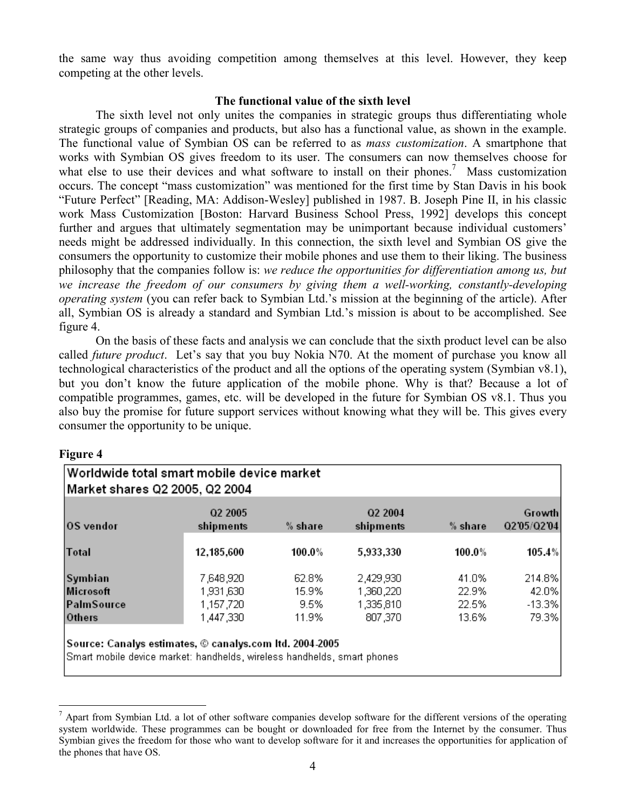the same way thus avoiding competition among themselves at this level. However, they keep competing at the other levels.

#### The functional value of the sixth level

 The sixth level not only unites the companies in strategic groups thus differentiating whole strategic groups of companies and products, but also has a functional value, as shown in the example. The functional value of Symbian OS can be referred to as mass customization. A smartphone that works with Symbian OS gives freedom to its user. The consumers can now themselves choose for what else to use their devices and what software to install on their phones.<sup>7</sup> Mass customization occurs. The concept "mass customization" was mentioned for the first time by Stan Davis in his book "Future Perfect" [Reading, MA: Addison-Wesley] published in 1987. B. Joseph Pine II, in his classic work Mass Customization [Boston: Harvard Business School Press, 1992] develops this concept further and argues that ultimately segmentation may be unimportant because individual customers' needs might be addressed individually. In this connection, the sixth level and Symbian OS give the consumers the opportunity to customize their mobile phones and use them to their liking. The business philosophy that the companies follow is: we reduce the opportunities for differentiation among us, but we increase the freedom of our consumers by giving them a well-working, constantly-developing operating system (you can refer back to Symbian Ltd.'s mission at the beginning of the article). After all, Symbian OS is already a standard and Symbian Ltd.'s mission is about to be accomplished. See figure 4.

 On the basis of these facts and analysis we can conclude that the sixth product level can be also called *future product*. Let's say that you buy Nokia N70. At the moment of purchase you know all technological characteristics of the product and all the options of the operating system (Symbian v8.1), but you don't know the future application of the mobile phone. Why is that? Because a lot of compatible programmes, games, etc. will be developed in the future for Symbian OS v8.1. Thus you also buy the promise for future support services without knowing what they will be. This gives every consumer the opportunity to be unique.

#### Figure 4

 $\overline{a}$ 

| OS vendor    | Q2 2005<br>shipments | % share | Q2 2004<br>shipments | % share | Growth<br>02'05/02'04 |
|--------------|----------------------|---------|----------------------|---------|-----------------------|
|              |                      |         |                      |         |                       |
| <b>Total</b> | 12,185,600           | 100.0%  | 5,933,330            | 100.0%  | 105.4%                |
| Symbian      | 7,648,920            | 62.8%   | 2,429,930            | 41.0%   | 214.8%                |
| Microsoft    | 1,931,630            | 15.9%   | 1,360,220            | 22.9%   | 42.0%                 |
| PalmSource   | 1,157,720            | 9.5%    | 1,335,810            | 22.5%   | $-13.3%$              |
| Others       | 1,447,330            | 11.9%   | 807,370              | 13.6%   | 79.3%                 |

 $<sup>7</sup>$  Apart from Symbian Ltd. a lot of other software companies develop software for the different versions of the operating</sup> system worldwide. These programmes can be bought or downloaded for free from the Internet by the consumer. Thus Symbian gives the freedom for those who want to develop software for it and increases the opportunities for application of the phones that have OS.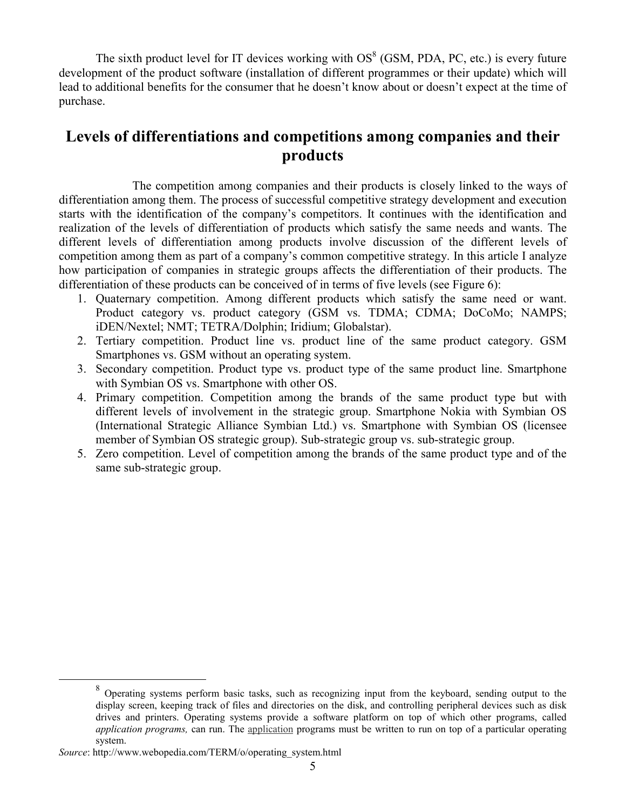The sixth product level for IT devices working with  $OS<sup>8</sup>$  (GSM, PDA, PC, etc.) is every future development of the product software (installation of different programmes or their update) which will lead to additional benefits for the consumer that he doesn't know about or doesn't expect at the time of purchase.

# Levels of differentiations and competitions among companies and their products

 The competition among companies and their products is closely linked to the ways of differentiation among them. The process of successful competitive strategy development and execution starts with the identification of the company's competitors. It continues with the identification and realization of the levels of differentiation of products which satisfy the same needs and wants. The different levels of differentiation among products involve discussion of the different levels of competition among them as part of a company's common competitive strategy. In this article I analyze how participation of companies in strategic groups affects the differentiation of their products. The differentiation of these products can be conceived of in terms of five levels (see Figure 6):

- 1. Quaternary competition. Among different products which satisfy the same need or want. Product category vs. product category (GSM vs. TDMA; CDMA; DoCoMo; NAMPS; iDEN/Nextel; NMT; TETRA/Dolphin; Iridium; Globalstar).
- 2. Tertiary competition. Product line vs. product line of the same product category. GSM Smartphones vs. GSM without an operating system.
- 3. Secondary competition. Product type vs. product type of the same product line. Smartphone with Symbian OS vs. Smartphone with other OS.
- 4. Primary competition. Competition among the brands of the same product type but with different levels of involvement in the strategic group. Smartphone Nokia with Symbian OS (International Strategic Alliance Symbian Ltd.) vs. Smartphone with Symbian OS (licensee member of Symbian OS strategic group). Sub-strategic group vs. sub-strategic group.
- 5. Zero competition. Level of competition among the brands of the same product type and of the same sub-strategic group.

 $\overline{a}$ 

<sup>&</sup>lt;sup>8</sup> Operating systems perform basic tasks, such as recognizing input from the keyboard, sending output to the display screen, keeping track of files and directories on the disk, and controlling peripheral devices such as disk drives and printers. Operating systems provide a software platform on top of which other programs, called application programs, can run. The application programs must be written to run on top of a particular operating system.

Source: http://www.webopedia.com/TERM/o/operating\_system.html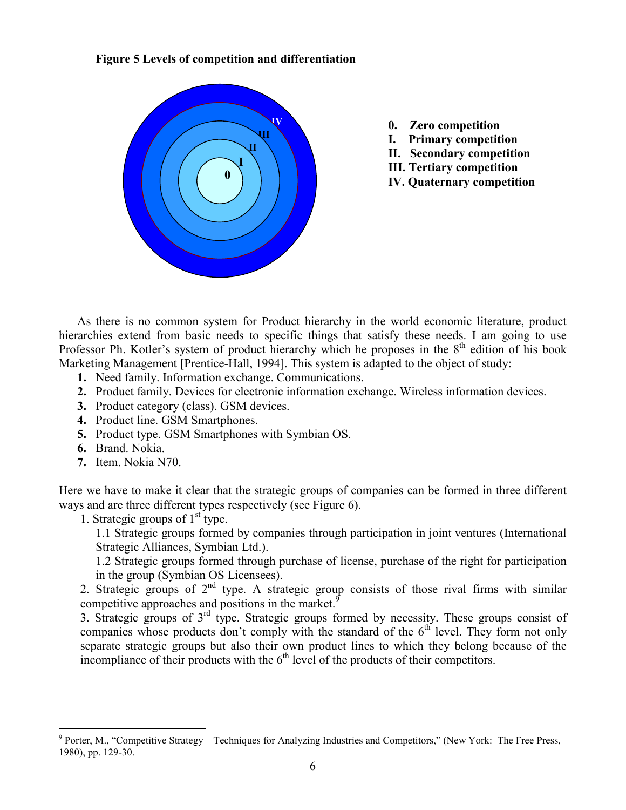#### Figure 5 Levels of competition and differentiation



- 0. Zero competition
- I. Primary competition
- II. Secondary competition
- III. Tertiary competition
- IV. Quaternary competition

As there is no common system for Product hierarchy in the world economic literature, product hierarchies extend from basic needs to specific things that satisfy these needs. I am going to use Professor Ph. Kotler's system of product hierarchy which he proposes in the  $8<sup>th</sup>$  edition of his book Marketing Management [Prentice-Hall, 1994]. This system is adapted to the object of study:

- 1. Need family. Information exchange. Communications.
- 2. Product family. Devices for electronic information exchange. Wireless information devices.
- 3. Product category (class). GSM devices.
- 4. Product line. GSM Smartphones.
- 5. Product type. GSM Smartphones with Symbian OS.
- 6. Brand. Nokia.
- 7. Item. Nokia N70.

Here we have to make it clear that the strategic groups of companies can be formed in three different ways and are three different types respectively (see Figure 6).

1. Strategic groups of  $1<sup>st</sup>$  type.

1.1 Strategic groups formed by companies through participation in joint ventures (International Strategic Alliances, Symbian Ltd.).

1.2 Strategic groups formed through purchase of license, purchase of the right for participation in the group (Symbian OS Licensees).

2. Strategic groups of  $2<sup>nd</sup>$  type. A strategic group consists of those rival firms with similar competitive approaches and positions in the market.<sup>9</sup>

3. Strategic groups of  $3<sup>rd</sup>$  type. Strategic groups formed by necessity. These groups consist of companies whose products don't comply with the standard of the  $6<sup>th</sup>$  level. They form not only separate strategic groups but also their own product lines to which they belong because of the incompliance of their products with the  $6<sup>th</sup>$  level of the products of their competitors.

<sup>&</sup>lt;sup>9</sup> Porter, M., "Competitive Strategy – Techniques for Analyzing Industries and Competitors," (New York: The Free Press, 1980), pp. 129-30.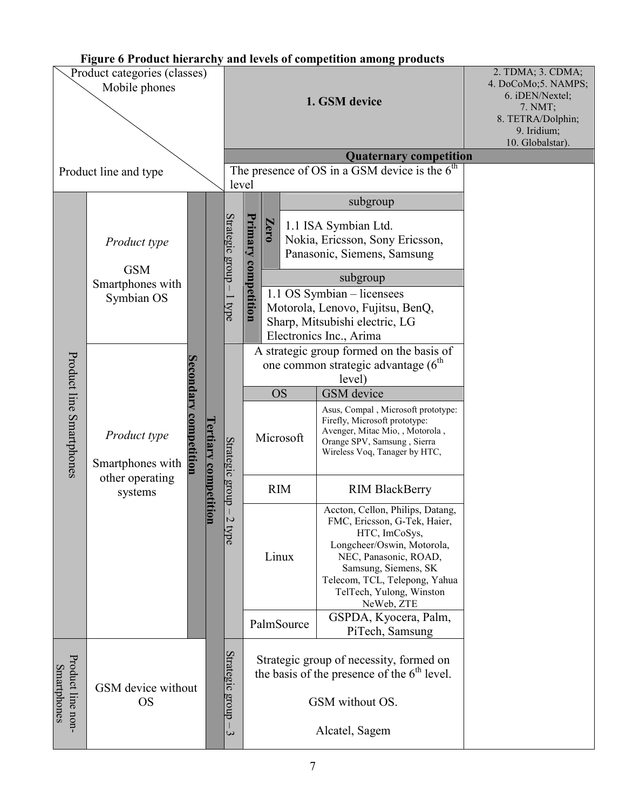# Figure 6 Product hierarchy and levels of competition among products

| Product categories (classes)<br>Mobile phones |                                                                |                                                                |  |                                                                                          | 1. GSM device<br><b>Quaternary competition</b><br>The presence of OS in a GSM device is the $6th$                             |                                      |                                                                                                                                                                                                                                                                                                                          | 2. TDMA; 3. CDMA;<br>4. DoCoMo;5. NAMPS;<br>6. iDEN/Nextel;<br>7. NMT;<br>8. TETRA/Dolphin;<br>9. Iridium;<br>10. Globalstar). |
|-----------------------------------------------|----------------------------------------------------------------|----------------------------------------------------------------|--|------------------------------------------------------------------------------------------|-------------------------------------------------------------------------------------------------------------------------------|--------------------------------------|--------------------------------------------------------------------------------------------------------------------------------------------------------------------------------------------------------------------------------------------------------------------------------------------------------------------------|--------------------------------------------------------------------------------------------------------------------------------|
| Product line and type                         |                                                                |                                                                |  |                                                                                          | level                                                                                                                         |                                      |                                                                                                                                                                                                                                                                                                                          |                                                                                                                                |
| Product line Smartphones                      | Product type<br><b>GSM</b><br>Smartphones with<br>Symbian OS   |                                                                |  | Strategic group - 1 type<br>Strategic group-<br>$\overline{C}$<br>$\overline{\text{pp}}$ | Primary<br>competition                                                                                                        | Zero                                 | subgroup<br>1.1 ISA Symbian Ltd.<br>Nokia, Ericsson, Sony Ericsson,<br>Panasonic, Siemens, Samsung<br>subgroup<br>1.1 OS Symbian - licensees<br>Motorola, Lenovo, Fujitsu, BenQ,<br>Sharp, Mitsubishi electric, LG<br>Electronics Inc., Arima                                                                            |                                                                                                                                |
|                                               | Product type<br>Smartphones with<br>other operating<br>systems | darv<br><b><i><u>Certiary competition</u></i></b><br>ompetitio |  |                                                                                          |                                                                                                                               | <b>OS</b><br>Microsoft<br><b>RIM</b> | A strategic group formed on the basis of<br>one common strategic advantage (6 <sup>th</sup> )<br>level)<br>GSM device<br>Asus, Compal, Microsoft prototype:<br>Firefly, Microsoft prototype:<br>Avenger, Mitac Mio, , Motorola,<br>Orange SPV, Samsung, Sierra<br>Wireless Voq, Tanager by HTC,<br><b>RIM BlackBerry</b> |                                                                                                                                |
|                                               |                                                                |                                                                |  |                                                                                          |                                                                                                                               | Linux<br>PalmSource                  | Accton, Cellon, Philips, Datang,<br>FMC, Ericsson, G-Tek, Haier,<br>HTC, ImCoSys,<br>Longcheer/Oswin, Motorola,<br>NEC, Panasonic, ROAD,<br>Samsung, Siemens, SK<br>Telecom, TCL, Telepong, Yahua<br>TelTech, Yulong, Winston<br>NeWeb, ZTE<br>GSPDA, Kyocera, Palm,<br>PiTech, Samsung                                  |                                                                                                                                |
| Product line non-<br>Smartphones              | GSM device without<br><b>OS</b>                                |                                                                |  | Strategic group -<br>$\mathbf{\hat{z}}$                                                  | Strategic group of necessity, formed on<br>the basis of the presence of the $6th$ level.<br>GSM without OS.<br>Alcatel, Sagem |                                      |                                                                                                                                                                                                                                                                                                                          |                                                                                                                                |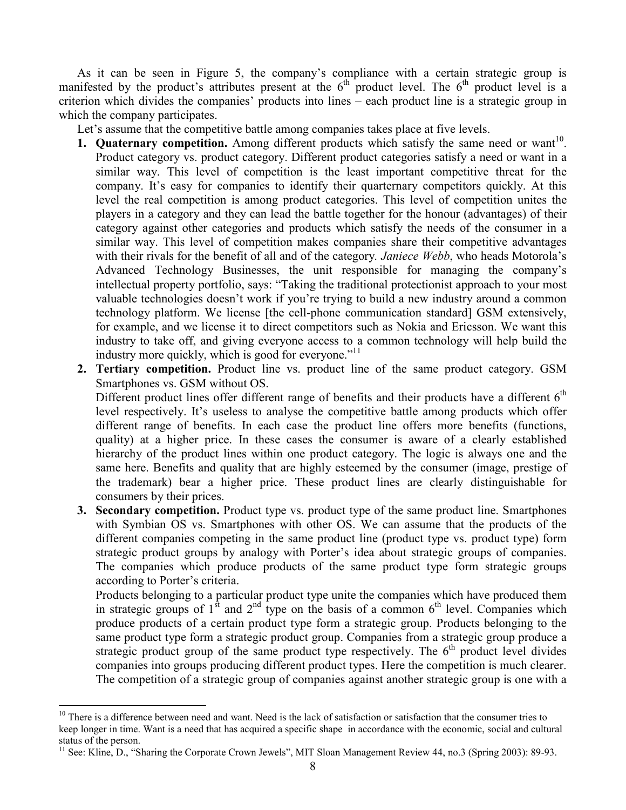As it can be seen in Figure 5, the company's compliance with a certain strategic group is manifested by the product's attributes present at the  $6<sup>th</sup>$  product level. The  $6<sup>th</sup>$  product level is a criterion which divides the companies' products into lines – each product line is a strategic group in which the company participates.

Let's assume that the competitive battle among companies takes place at five levels.

- 1. Quaternary competition. Among different products which satisfy the same need or want<sup>10</sup>. Product category vs. product category. Different product categories satisfy a need or want in a similar way. This level of competition is the least important competitive threat for the company. It's easy for companies to identify their quarternary competitors quickly. At this level the real competition is among product categories. This level of competition unites the players in a category and they can lead the battle together for the honour (advantages) of their category against other categories and products which satisfy the needs of the consumer in a similar way. This level of competition makes companies share their competitive advantages with their rivals for the benefit of all and of the category. Janiece Webb, who heads Motorola's Advanced Technology Businesses, the unit responsible for managing the company's intellectual property portfolio, says: "Taking the traditional protectionist approach to your most valuable technologies doesn't work if you're trying to build a new industry around a common technology platform. We license [the cell-phone communication standard] GSM extensively, for example, and we license it to direct competitors such as Nokia and Ericsson. We want this industry to take off, and giving everyone access to a common technology will help build the industry more quickly, which is good for everyone."<sup>11</sup>
- 2. Tertiary competition. Product line vs. product line of the same product category. GSM Smartphones vs. GSM without OS.

Different product lines offer different range of benefits and their products have a different  $6<sup>th</sup>$ level respectively. It's useless to analyse the competitive battle among products which offer different range of benefits. In each case the product line offers more benefits (functions, quality) at a higher price. In these cases the consumer is aware of a clearly established hierarchy of the product lines within one product category. The logic is always one and the same here. Benefits and quality that are highly esteemed by the consumer (image, prestige of the trademark) bear a higher price. These product lines are clearly distinguishable for consumers by their prices.

3. Secondary competition. Product type vs. product type of the same product line. Smartphones with Symbian OS vs. Smartphones with other OS. We can assume that the products of the different companies competing in the same product line (product type vs. product type) form strategic product groups by analogy with Porter's idea about strategic groups of companies. The companies which produce products of the same product type form strategic groups according to Porter's criteria.

Products belonging to a particular product type unite the companies which have produced them in strategic groups of  $1<sup>st</sup>$  and  $2<sup>nd</sup>$  type on the basis of a common 6<sup>th</sup> level. Companies which produce products of a certain product type form a strategic group. Products belonging to the same product type form a strategic product group. Companies from a strategic group produce a strategic product group of the same product type respectively. The  $6<sup>th</sup>$  product level divides companies into groups producing different product types. Here the competition is much clearer. The competition of a strategic group of companies against another strategic group is one with a

 $\overline{a}$ 

 $10$  There is a difference between need and want. Need is the lack of satisfaction or satisfaction that the consumer tries to keep longer in time. Want is a need that has acquired a specific shape in accordance with the economic, social and cultural status of the person.

<sup>&</sup>lt;sup>11</sup> See: Kline, D., "Sharing the Corporate Crown Jewels", MIT Sloan Management Review 44, no.3 (Spring 2003): 89-93.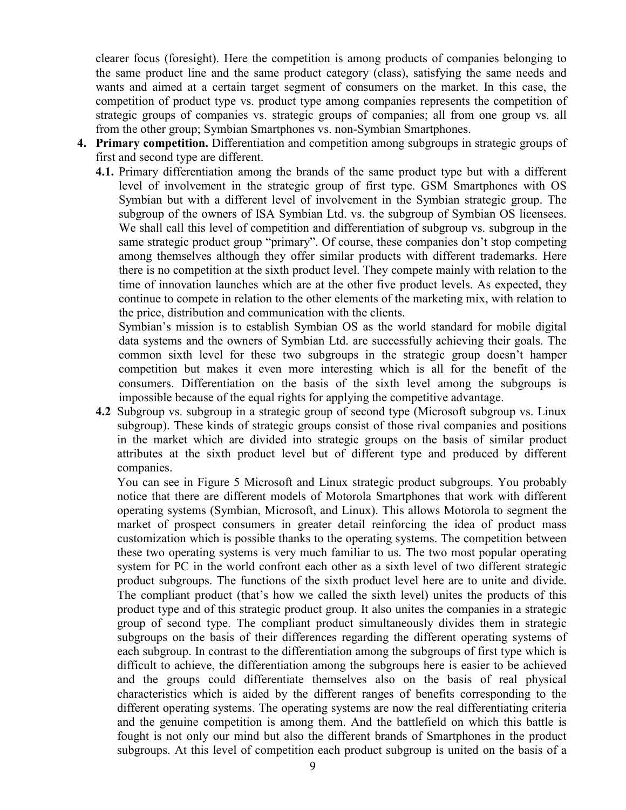clearer focus (foresight). Here the competition is among products of companies belonging to the same product line and the same product category (class), satisfying the same needs and wants and aimed at a certain target segment of consumers оn the market. In this case, the competition of product type vs. product type among companies represents the competition of strategic groups of companies vs. strategic groups of companies; all from one group vs. all from the other group; Symbian Smartphones vs. non-Symbian Smartphones.

- 4. Primary competition. Differentiation and competition among subgroups in strategic groups of first and second type are different.
	- 4.1. Primary differentiation among the brands of the same product type but with a different level of involvement in the strategic group of first type. GSM Smartphones with OS Symbian but with a different level of involvement in the Symbian strategic group. The subgroup of the owners of ISA Symbian Ltd. vs. the subgroup of Symbian OS licensees. We shall call this level of competition and differentiation of subgroup vs. subgroup in the same strategic product group "primary". Of course, these companies don't stop competing among themselves although they offer similar products with different trademarks. Here there is no competition at the sixth product level. They compete mainly with relation to the time of innovation launches which are at the other five product levels. As expected, they continue to compete in relation to the other elements of the marketing mix, with relation to the price, distribution and communication with the clients.

Symbian's mission is to establish Symbian OS as the world standard for mobile digital data systems and the owners of Symbian Ltd. are successfully achieving their goals. The common sixth level for these two subgroups in the strategic group doesn't hamper competition but makes it even more interesting which is all for the benefit of the consumers. Differentiation on the basis of the sixth level among the subgroups is impossible because of the equal rights for applying the competitive advantage.

4.2 Subgroup vs. subgroup in a strategic group of second type (Microsoft subgroup vs. Linux subgroup). These kinds of strategic groups consist of those rival companies and positions in the market which are divided into strategic groups on the basis of similar product attributes at the sixth product level but of different type and produced by different companies.

You can see in Figure 5 Microsoft and Linux strategic product subgroups. You probably notice that there are different models of Motorola Smartphones that work with different operating systems (Symbian, Microsoft, and Linux). This allows Motorola to segment the market of prospect consumers in greater detail reinforcing the idea of product mass customization which is possible thanks to the operating systems. The competition between these two operating systems is very much familiar to us. The two most popular operating system for PC in the world confront each other as a sixth level of two different strategic product subgroups. The functions of the sixth product level here are to unite and divide. The compliant product (that's how we called the sixth level) unites the products of this product type and of this strategic product group. It also unites the companies in a strategic group of second type. The compliant product simultaneously divides them in strategic subgroups on the basis of their differences regarding the different operating systems of each subgroup. In contrast to the differentiation among the subgroups of first type which is difficult to achieve, the differentiation among the subgroups here is easier to be achieved and the groups could differentiate themselves also on the basis of real physical characteristics which is aided by the different ranges of benefits corresponding to the different operating systems. The operating systems are now the real differentiating criteria and the genuine competition is among them. And the battlefield on which this battle is fought is not only our mind but also the different brands of Smartphones in the product subgroups. At this level of competition each product subgroup is united on the basis of a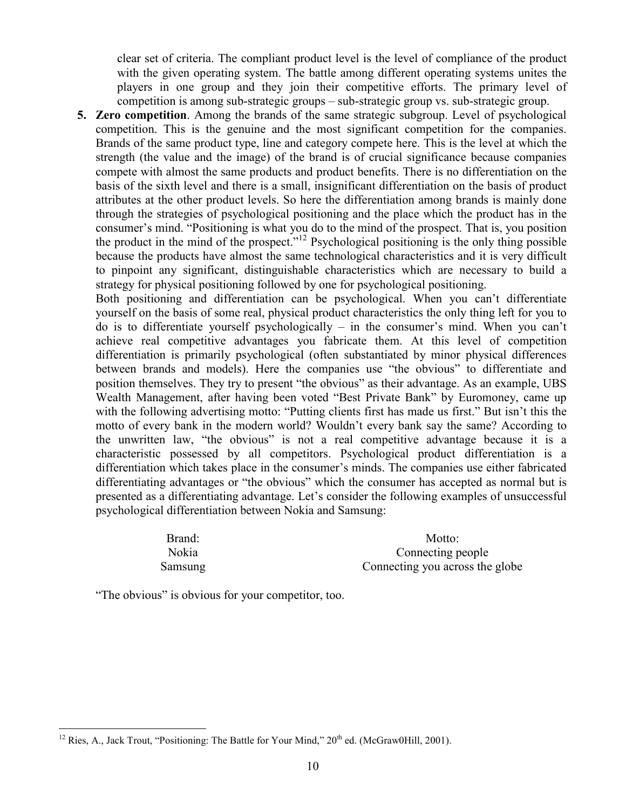clear set of criteria. The compliant product level is the level of compliance of the product with the given operating system. The battle among different operating systems unites the players in one group and they join their competitive efforts. The primary level of competition is among sub-strategic groups – sub-strategic group vs. sub-strategic group.

5. Zero competition. Among the brands of the same strategic subgroup. Level of psychological competition. This is the genuine and the most significant competition for the companies. Brands of the same product type, line and category compete here. This is the level at which the strength (the value and the image) of the brand is of crucial significance because companies compete with almost the same products and product benefits. There is no differentiation on the basis of the sixth level and there is a small, insignificant differentiation on the basis of product attributes at the other product levels. So here the differentiation among brands is mainly done through the strategies of psychological positioning and the place which the product has in the consumer's mind. "Positioning is what you do to the mind of the prospect. That is, you position the product in the mind of the prospect."<sup>12</sup> Psychological positioning is the only thing possible because the products have almost the same technological characteristics and it is very difficult to pinpoint any significant, distinguishable characteristics which are necessary to build a strategy for physical positioning followed by one for psychological positioning.

Both positioning and differentiation can be psychological. When you can't differentiate yourself on the basis of some real, physical product characteristics the only thing left for you to do is to differentiate yourself psychologically – in the consumer's mind. When you can't achieve real competitive advantages you fabricate them. At this level of competition differentiation is primarily psychological (often substantiated by minor physical differences between brands and models). Here the companies use "the obvious" to differentiate and position themselves. They try to present "the obvious" as their advantage. As an example, UBS Wealth Management, after having been voted "Best Private Bank" by Euromoney, came up with the following advertising motto: "Putting clients first has made us first." But isn't this the motto of every bank in the modern world? Wouldn't every bank say the same? According to the unwritten law, "the obvious" is not a real competitive advantage because it is a characteristic possessed by all competitors. Psychological product differentiation is a differentiation which takes place in the consumer's minds. The companies use either fabricated differentiating advantages or "the obvious" which the consumer has accepted as normal but is presented as a differentiating advantage. Let's consider the following examples of unsuccessful psychological differentiation between Nokia and Samsung:

Brand: Motto: Nokia Connecting people Samsung Connecting you across the globe

"The obvious" is obvious for your competitor, too.

 $\overline{a}$ <sup>12</sup> Ries, A., Jack Trout, "Positioning: The Battle for Your Mind,"  $20<sup>th</sup>$  ed. (McGraw0Hill, 2001).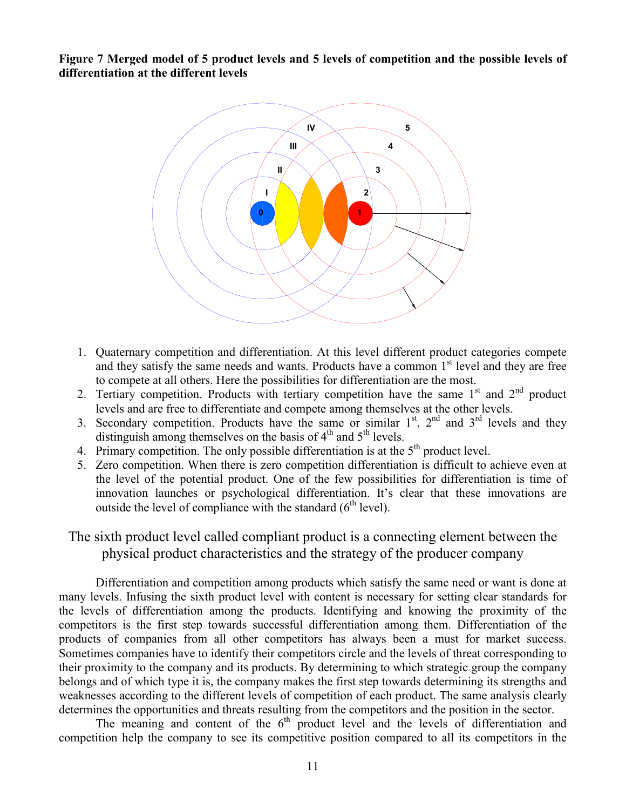Figure 7 Merged model of 5 product levels and 5 levels of competition and the possible levels of differentiation at the different levels



- 1. Quaternary competition and differentiation. At this level different product categories compete and they satisfy the same needs and wants. Products have a common  $1<sup>st</sup>$  level and they are free to compete at all others. Here the possibilities for differentiation are the most.
- 2. Tertiary competition. Products with tertiary competition have the same  $1<sup>st</sup>$  and  $2<sup>nd</sup>$  product levels and are free to differentiate and compete among themselves at the other levels.
- 3. Secondary competition. Products have the same or similar  $1<sup>st</sup>$ ,  $2<sup>nd</sup>$  and  $3<sup>rd</sup>$  levels and they distinguish among themselves on the basis of  $4<sup>th</sup>$  and  $5<sup>th</sup>$  levels.
- 4. Primary competition. The only possible differentiation is at the  $5<sup>th</sup>$  product level.
- 5. Zero competition. When there is zero competition differentiation is difficult to achieve even at the level of the potential product. One of the few possibilities for differentiation is time of innovation launches or psychological differentiation. It's clear that these innovations are outside the level of compliance with the standard  $(6<sup>th</sup>$  level).

## The sixth product level called compliant product is a connecting element between the physical product characteristics and the strategy of the producer company

 Differentiation and competition among products which satisfy the same need or want is done at many levels. Infusing the sixth product level with content is necessary for setting clear standards for the levels of differentiation among the products. Identifying and knowing the proximity of the competitors is the first step towards successful differentiation among them. Differentiation of the products of companies from all other competitors has always been a must for market success. Sometimes companies have to identify their competitors circle and the levels of threat corresponding to their proximity to the company and its products. By determining to which strategic group the company belongs and of which type it is, the company makes the first step towards determining its strengths and weaknesses according to the different levels of competition of each product. The same analysis clearly determines the opportunities and threats resulting from the competitors and the position in the sector.

The meaning and content of the  $6<sup>th</sup>$  product level and the levels of differentiation and competition help the company to see its competitive position compared to all its competitors in the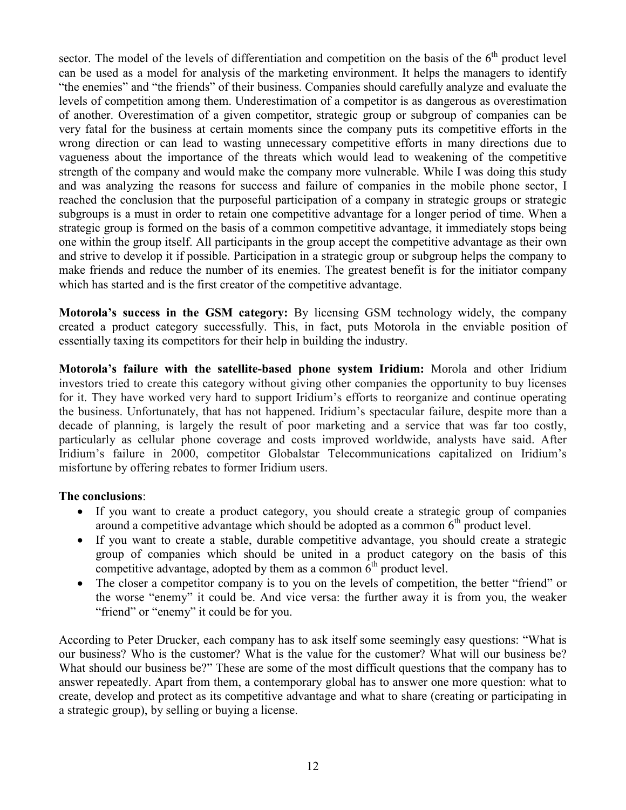sector. The model of the levels of differentiation and competition on the basis of the  $6<sup>th</sup>$  product level can be used as a model for analysis of the marketing environment. It helps the managers to identify "the enemies" and "the friends" of their business. Companies should carefully analyze and evaluate the levels of competition among them. Underestimation of a competitor is as dangerous as overestimation of another. Overestimation of a given competitor, strategic group or subgroup of companies can be very fatal for the business at certain moments since the company puts its competitive efforts in the wrong direction or can lead to wasting unnecessary competitive efforts in many directions due to vagueness about the importance of the threats which would lead to weakening of the competitive strength of the company and would make the company more vulnerable. While I was doing this study and was analyzing the reasons for success and failure of companies in the mobile phone sector, I reached the conclusion that the purposeful participation of a company in strategic groups or strategic subgroups is a must in order to retain one competitive advantage for a longer period of time. When a strategic group is formed on the basis of a common competitive advantage, it immediately stops being one within the group itself. All participants in the group accept the competitive advantage as their own and strive to develop it if possible. Participation in a strategic group or subgroup helps the company to make friends and reduce the number of its enemies. The greatest benefit is for the initiator company which has started and is the first creator of the competitive advantage.

Motorola's success in the GSM category: By licensing GSM technology widely, the company created a product category successfully. This, in fact, puts Motorola in the enviable position of essentially taxing its competitors for their help in building the industry.

Motorola's failure with the satellite-based phone system Iridium: Morola and other Iridium investors tried to create this category without giving other companies the opportunity to buy licenses for it. They have worked very hard to support Iridium's efforts to reorganize and continue operating the business. Unfortunately, that has not happened. Iridium's spectacular failure, despite more than a decade of planning, is largely the result of poor marketing and a service that was far too costly, particularly as cellular phone coverage and costs improved worldwide, analysts have said. After Iridium's failure in 2000, competitor Globalstar Telecommunications capitalized on Iridium's misfortune by offering rebates to former Iridium users.

#### The conclusions:

- If you want to create a product category, you should create a strategic group of companies around a competitive advantage which should be adopted as a common  $6<sup>th</sup>$  product level.
- If you want to create a stable, durable competitive advantage, you should create a strategic group of companies which should be united in a product category on the basis of this competitive advantage, adopted by them as a common  $\hat{6}^{th}$  product level.
- The closer a competitor company is to you on the levels of competition, the better "friend" or the worse "enemy" it could be. And vice versa: the further away it is from you, the weaker "friend" or "enemy" it could be for you.

According to Peter Drucker, each company has to ask itself some seemingly easy questions: "What is our business? Who is the customer? What is the value for the customer? What will our business be? What should our business be?" These are some of the most difficult questions that the company has to answer repeatedly. Apart from them, a contemporary global has to answer one more question: what to create, develop and protect as its competitive advantage and what to share (creating or participating in a strategic group), by selling or buying a license.